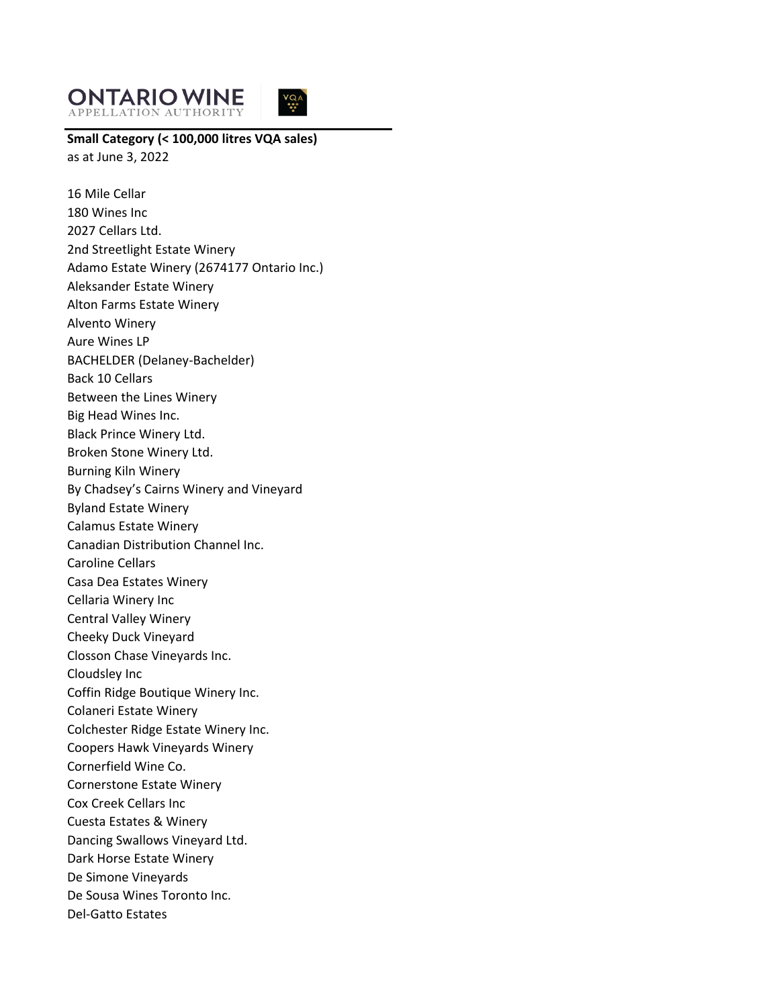



**Small Category (< 100,000 litres VQA sales)** as at June 3, 2022

16 Mile Cellar 180 Wines Inc 2027 Cellars Ltd. 2nd Streetlight Estate Winery Adamo Estate Winery (2674177 Ontario Inc.) Aleksander Estate Winery Alton Farms Estate Winery Alvento Winery Aure Wines LP BACHELDER (Delaney-Bachelder) Back 10 Cellars Between the Lines Winery Big Head Wines Inc. Black Prince Winery Ltd. Broken Stone Winery Ltd. Burning Kiln Winery By Chadsey's Cairns Winery and Vineyard Byland Estate Winery Calamus Estate Winery Canadian Distribution Channel Inc. Caroline Cellars Casa Dea Estates Winery Cellaria Winery Inc Central Valley Winery Cheeky Duck Vineyard Closson Chase Vineyards Inc. Cloudsley Inc Coffin Ridge Boutique Winery Inc. Colaneri Estate Winery Colchester Ridge Estate Winery Inc. Coopers Hawk Vineyards Winery Cornerfield Wine Co. Cornerstone Estate Winery Cox Creek Cellars Inc Cuesta Estates & Winery Dancing Swallows Vineyard Ltd. Dark Horse Estate Winery De Simone Vineyards De Sousa Wines Toronto Inc. Del-Gatto Estates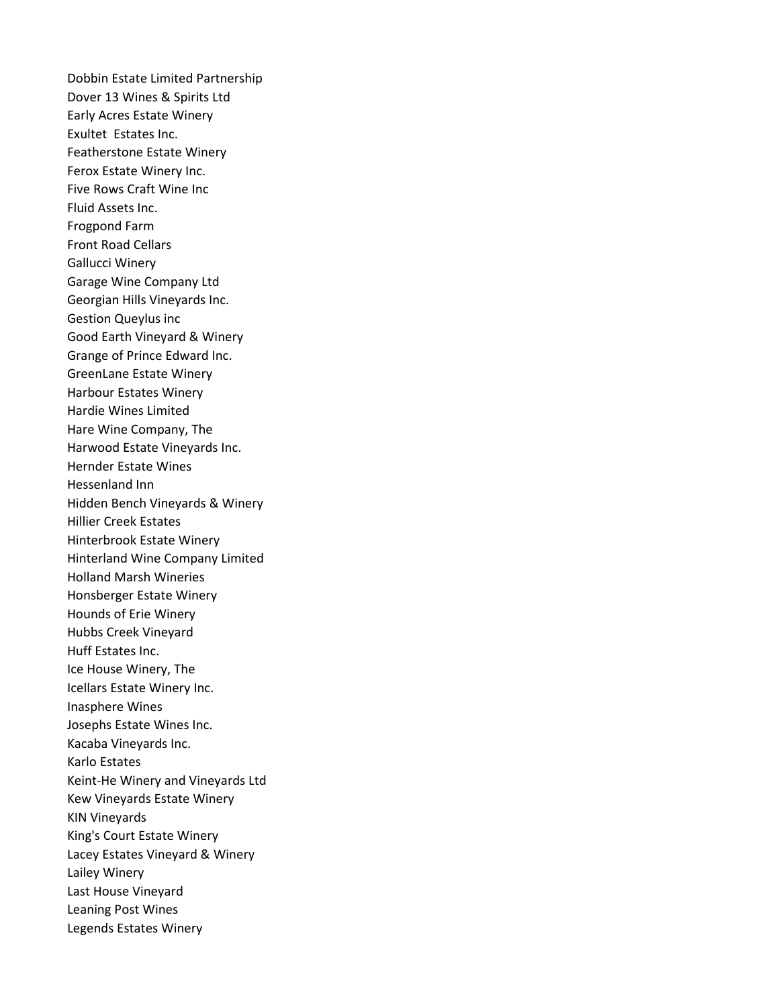Dobbin Estate Limited Partnership Dover 13 Wines & Spirits Ltd Early Acres Estate Winery Exultet Estates Inc. Featherstone Estate Winery Ferox Estate Winery Inc. Five Rows Craft Wine Inc Fluid Assets Inc. Frogpond Farm Front Road Cellars Gallucci Winery Garage Wine Company Ltd Georgian Hills Vineyards Inc. Gestion Queylus inc Good Earth Vineyard & Winery Grange of Prince Edward Inc. GreenLane Estate Winery Harbour Estates Winery Hardie Wines Limited Hare Wine Company, The Harwood Estate Vineyards Inc. Hernder Estate Wines Hessenland Inn Hidden Bench Vineyards & Winery Hillier Creek Estates Hinterbrook Estate Winery Hinterland Wine Company Limited Holland Marsh Wineries Honsberger Estate Winery Hounds of Erie Winery Hubbs Creek Vineyard Huff Estates Inc. Ice House Winery, The Icellars Estate Winery Inc. Inasphere Wines Josephs Estate Wines Inc. Kacaba Vineyards Inc. Karlo Estates Keint-He Winery and Vineyards Ltd Kew Vineyards Estate Winery KIN Vineyards King's Court Estate Winery Lacey Estates Vineyard & Winery Lailey Winery Last House Vineyard Leaning Post Wines Legends Estates Winery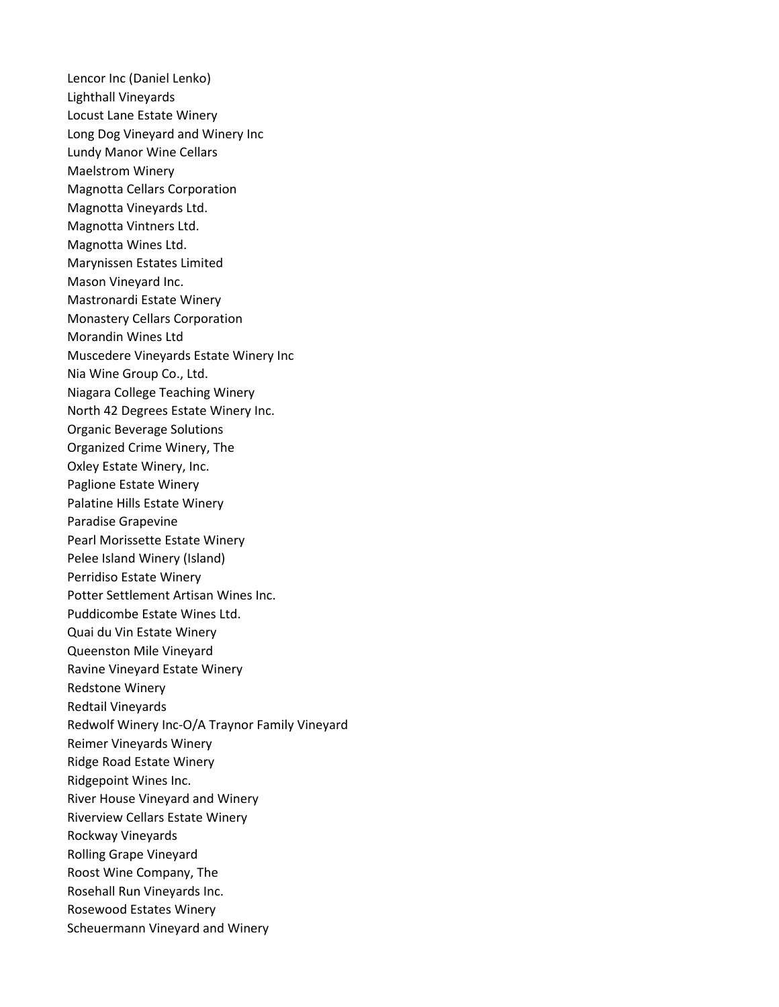Lencor Inc (Daniel Lenko) Lighthall Vineyards Locust Lane Estate Winery Long Dog Vineyard and Winery Inc Lundy Manor Wine Cellars Maelstrom Winery Magnotta Cellars Corporation Magnotta Vineyards Ltd. Magnotta Vintners Ltd. Magnotta Wines Ltd. Marynissen Estates Limited Mason Vineyard Inc. Mastronardi Estate Winery Monastery Cellars Corporation Morandin Wines Ltd Muscedere Vineyards Estate Winery Inc Nia Wine Group Co., Ltd. Niagara College Teaching Winery North 42 Degrees Estate Winery Inc. Organic Beverage Solutions Organized Crime Winery, The Oxley Estate Winery, Inc. Paglione Estate Winery Palatine Hills Estate Winery Paradise Grapevine Pearl Morissette Estate Winery Pelee Island Winery (Island) Perridiso Estate Winery Potter Settlement Artisan Wines Inc. Puddicombe Estate Wines Ltd. Quai du Vin Estate Winery Queenston Mile Vineyard Ravine Vineyard Estate Winery Redstone Winery Redtail Vineyards Redwolf Winery Inc-O/A Traynor Family Vineyard Reimer Vineyards Winery Ridge Road Estate Winery Ridgepoint Wines Inc. River House Vineyard and Winery Riverview Cellars Estate Winery Rockway Vineyards Rolling Grape Vineyard Roost Wine Company, The Rosehall Run Vineyards Inc. Rosewood Estates Winery Scheuermann Vineyard and Winery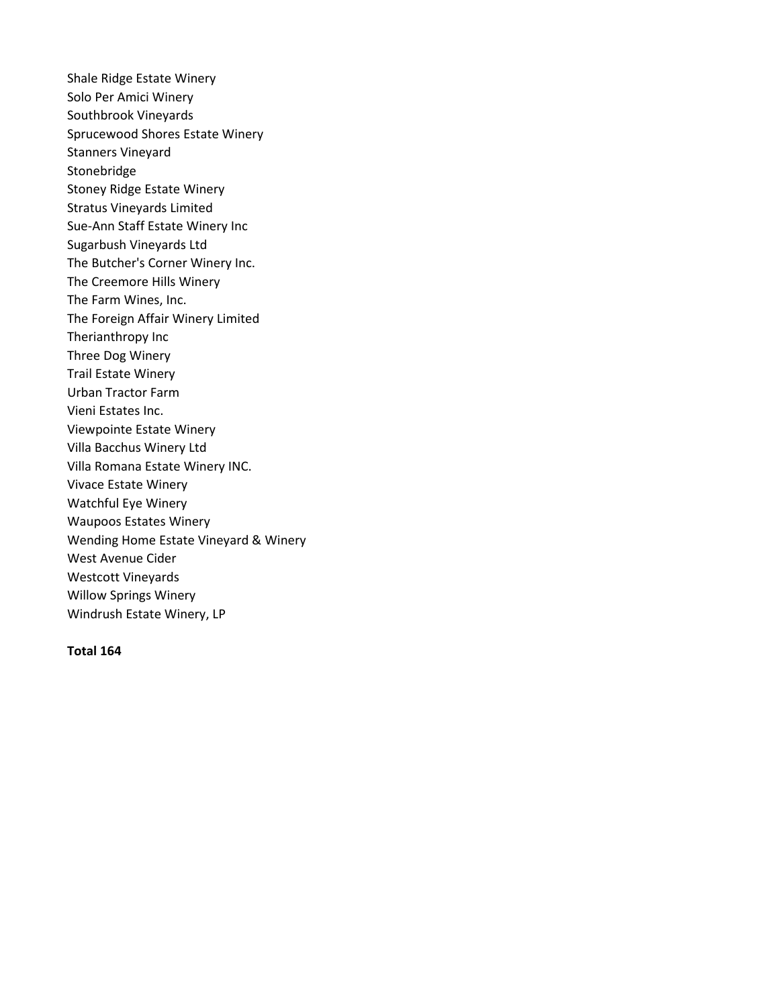Shale Ridge Estate Winery Solo Per Amici Winery Southbrook Vineyards Sprucewood Shores Estate Winery Stanners Vineyard Stonebridge Stoney Ridge Estate Winery Stratus Vineyards Limited Sue-Ann Staff Estate Winery Inc Sugarbush Vineyards Ltd The Butcher's Corner Winery Inc. The Creemore Hills Winery The Farm Wines, Inc. The Foreign Affair Winery Limited Therianthropy Inc Three Dog Winery Trail Estate Winery Urban Tractor Farm Vieni Estates Inc. Viewpointe Estate Winery Villa Bacchus Winery Ltd Villa Romana Estate Winery INC. Vivace Estate Winery Watchful Eye Winery Waupoos Estates Winery Wending Home Estate Vineyard & Winery West Avenue Cider Westcott Vineyards Willow Springs Winery Windrush Estate Winery, LP

## **Total 164**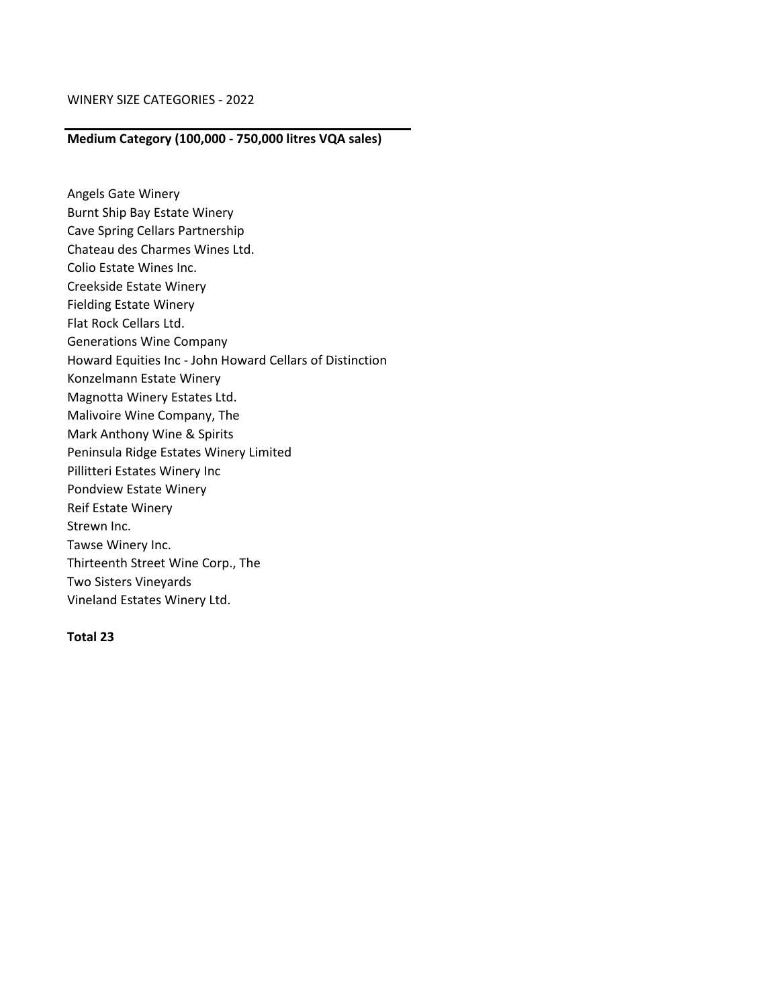## **Medium Category (100,000 - 750,000 litres VQA sales)**

Angels Gate Winery Burnt Ship Bay Estate Winery Cave Spring Cellars Partnership Chateau des Charmes Wines Ltd. Colio Estate Wines Inc. Creekside Estate Winery Fielding Estate Winery Flat Rock Cellars Ltd. Generations Wine Company Howard Equities Inc - John Howard Cellars of Distinction Konzelmann Estate Winery Magnotta Winery Estates Ltd. Malivoire Wine Company, The Mark Anthony Wine & Spirits Peninsula Ridge Estates Winery Limited Pillitteri Estates Winery Inc Pondview Estate Winery Reif Estate Winery Strewn Inc. Tawse Winery Inc. Thirteenth Street Wine Corp., The Two Sisters Vineyards Vineland Estates Winery Ltd.

## **Total 23**